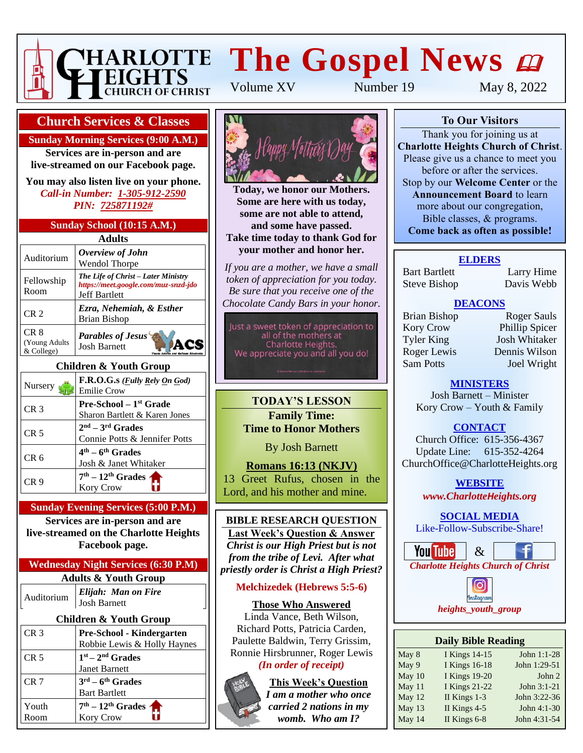

# **The Gospel News**  $\boldsymbol{\omega}$

Volume XV Number 19 May 8, 2022

#### **Church Services & Classes**

**Sunday Morning Services (9:00 A.M.)**

**Services are in-person and are live-streamed on our Facebook page.**

**You may also listen live on your phone.** *Call-in Number: 1-305-912-2590 PIN: 725871192#*

#### **Sunday School (10:15 A.M.)**

| Adults                                         |                                                                                                     |  |  |  |
|------------------------------------------------|-----------------------------------------------------------------------------------------------------|--|--|--|
| Auditorium                                     | Overview of John<br><b>Wendol Thorpe</b>                                                            |  |  |  |
| Fellowship<br>Room                             | The Life of Christ - Later Ministry<br>https://meet.google.com/muz-snzd-jdo<br><b>Jeff Bartlett</b> |  |  |  |
| CR <sub>2</sub>                                | Ezra, Nehemiah, & Esther<br><b>Brian Bishop</b>                                                     |  |  |  |
| CR <sub>8</sub><br>(Young Adults<br>& College) | <b>Parables of Jesus</b><br><b>Josh Barnett</b>                                                     |  |  |  |

#### **Children & Youth Group**

| Nursery         | F.R.O.G.s ( <i>Fully Rely On God</i> )<br><b>Emilie Crow</b>    |
|-----------------|-----------------------------------------------------------------|
| CR <sub>3</sub> | <b>Pre-School</b> $-1st$ Grade<br>Sharon Bartlett & Karen Jones |
| CR <sub>5</sub> | $2nd - 3rd$ Grades<br>Connie Potts & Jennifer Potts             |
| CR <sub>6</sub> | $4th - 6th$ Grades<br>Josh & Janet Whitaker                     |
| CR 9            | $7th - 12th$ Grades $\triangleleft$<br>Kory Crow                |

#### **Sunday Evening Services (5:00 P.M.)**

**Services are in-person and are live-streamed on the Charlotte Heights Facebook page.**

#### **Wednesday Night Services (6:30 P.M) Adults & Youth Group**

| Auditorium | Elijah: Man on Fire<br>Josh Barnett |
|------------|-------------------------------------|
|            |                                     |

#### **Children & Youth Group** CR 3 **Pre-School - Kindergarten** Robbie Lewis & Holly Haynes

| CR <sub>5</sub> | $1st - 2nd$ Grades                     |
|-----------------|----------------------------------------|
|                 | Janet Barnett                          |
| CR 7            | $3^{\text{rd}} - 6^{\text{th}}$ Grades |
|                 | <b>Bart Bartlett</b>                   |
| Youth           | $7th - 12th$ Grades $\uparrow$         |
| Room            | Kory Crow                              |



**Today, we honor our Mothers. Some are here with us today,** some are not able to attend, and some nave passed.<br>Take time today to thank God for **and some have passed. your mother and honor her.**

*If you are a mother, we have a small token of appreciation for you today. Be sure that you receive one of the Chocolate Candy Bars in your honor.*

Just a sweet token of appreciation to<br>all of the mothers at Charlotte Heights. We appreciate you and all you do!

**TODAY'S LESSON Family Time: Time to Honor Mothers**

By Josh Barnett

**Romans 16:13 (NKJV)** 13 Greet Rufus, chosen in the Lord, and his mother and mine.

#### **BIBLE RESEARCH QUESTION Last Week's Question & Answer** *Christ is our High Priest but is not from the tribe of Levi. After what priestly order is Christ a High Priest?*

#### **Melchizedek (Hebrews 5:5-6)**

#### **Those Who Answered**

Linda Vance, Beth Wilson, Richard Potts, Patricia Carden, Paulette Baldwin, Terry Grissim, Ronnie Hirsbrunner, Roger Lewis

#### *(In order of receipt)*

**This Week's Question**

*womb. Who am I?*



#### **To Our Visitors**

Thank you for joining us at **Charlotte Heights Church of Christ**. Please give us a chance to meet you before or after the services. Stop by our **Welcome Center** or the **Announcement Board** to learn more about our congregation, Bible classes, & programs. **Come back as often as possible!**

#### **ELDERS**

Bart Bartlett Larry Hime Steve Bishop Davis Webb

#### **DEACONS**

Kory Crow Phillip Spicer Tyler King Josh Whitaker Roger Lewis Dennis Wilson Sam Potts Joel Wright

Brian Bishop Roger Sauls

#### **MINISTERS**

Josh Barnett – Minister Kory Crow – Youth & Family

**CONTACT**

Church Office: 615-356-4367 Update Line: 615-352-4264 ChurchOffice@CharlotteHeights.org

**WEBSITE**

**Media Postings** *www.CharlotteHeights.org*

**SOCIAL MEDIA** Like-Follow-Subscribe-Share!





| <b>Daily Bible Reading</b> |                      |              |  |  |  |
|----------------------------|----------------------|--------------|--|--|--|
| May 8                      | <b>I Kings 14-15</b> | John 1:1-28  |  |  |  |
| May 9                      | <b>I Kings 16-18</b> | John 1:29-51 |  |  |  |
| May 10                     | <b>I Kings 19-20</b> | John 2       |  |  |  |
| May 11                     | <b>I Kings 21-22</b> | John 3:1-21  |  |  |  |
| May 12                     | II Kings 1-3         | John 3:22-36 |  |  |  |
| May 13                     | II Kings $4-5$       | John 4:1-30  |  |  |  |
| May 14                     | II Kings 6-8         | John 4:31-54 |  |  |  |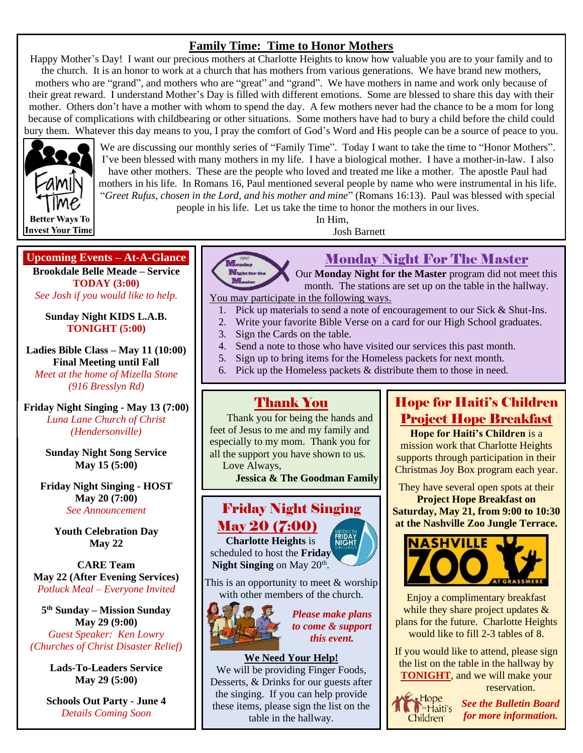### **Family Time: Time to Honor Mothers**

Happy Mother's Day! I want our precious mothers at Charlotte Heights to know how valuable you are to your family and to the church. It is an honor to work at a church that has mothers from various generations. We have brand new mothers, mothers who are "grand", and mothers who are "great" and "grand". We have mothers in name and work only because of their great reward. I understand Mother's Day is filled with different emotions. Some are blessed to share this day with their mother. Others don't have a mother with whom to spend the day. A few mothers never had the chance to be a mom for long because of complications with childbearing or other situations. Some mothers have had to bury a child before the child could bury them. Whatever this day means to you, I pray the comfort of God's Word and His people can be a source of peace to you.



We are discussing our monthly series of "Family Time". Today I want to take the time to "Honor Mothers". I've been blessed with many mothers in my life. I have a biological mother. I have a mother-in-law. I also have other mothers. These are the people who loved and treated me like a mother. The apostle Paul had mothers in his life. In Romans 16, Paul mentioned several people by name who were instrumental in his life. "*Greet Rufus, chosen in the Lord, and his mother and mine*" (Romans 16:13). Paul was blessed with special

people in his life. Let us take the time to honor the mothers in our lives. In Him,

**Upcoming Events – At-A-Glance**

**Brookdale Belle Meade – Service TODAY (3:00)** *See Josh if you would like to help.*

**Sunday Night KIDS L.A.B. TONIGHT (5:00)**

**Ladies Bible Class – May 11 (10:00) Final Meeting until Fall**

*Meet at the home of Mizella Stone (916 Bresslyn Rd)*

**Friday Night Singing - May 13 (7:00)** *Luna Lane Church of Christ (Hendersonville)*

> **Sunday Night Song Service May 15 (5:00)**

**Friday Night Singing - HOST May 20 (7:00)** *See Announcement*

> **Youth Celebration Day May 22**

**CARE Team May 22 (After Evening Services)** *Potluck Meal – Everyone Invited*

**5 th Sunday – Mission Sunday May 29 (9:00)** *Guest Speaker: Ken Lowry (Churches of Christ Disaster Relief)*

> **Lads-To-Leaders Service May 29 (5:00)**

**Schools Out Party - June 4** *Details Coming Soon*

Monday Night For The Master

Our **Monday Night for the Master** program did not meet this month. The stations are set up on the table in the hallway. You may participate in the following ways.

- 1. Pick up materials to send a note of encouragement to our Sick & Shut-Ins.
- 2. Write your favorite Bible Verse on a card for our High School graduates.
- 3. Sign the Cards on the table.
- 4. Send a note to those who have visited our services this past month.

Josh Barnett

- 5. Sign up to bring items for the Homeless packets for next month.
- 6. Pick up the Homeless packets & distribute them to those in need.

#### Thank You

Thank you for being the hands and feet of Jesus to me and my family and especially to my mom. Thank you for all the support you have shown to us. Love Always,

**Jessica & The Goodman Family**

# Friday Night Singing May 20 (7:00)

**Charlotte Heights** is scheduled to host the **Friday**  Night Singing on May 20<sup>th</sup>.



This is an opportunity to meet & worship with other members of the church.



*Please make plans to come & support this event.*

#### **We Need Your Help!**

We will be providing Finger Foods, Desserts, & Drinks for our guests after the singing. If you can help provide these items, please sign the list on the table in the hallway.

# Hope for Haiti's Children Project Hope Breakfast

**Hope for Haiti's Children** is a mission work that Charlotte Heights supports through participation in their Christmas Joy Box program each year.

They have several open spots at their **Project Hope Breakfast on**

**Saturday, May 21, from 9:00 to 10:30 at the Nashville Zoo Jungle Terrace.**



Enjoy a complimentary breakfast while they share project updates & plans for the future. Charlotte Heights would like to fill 2-3 tables of 8.

If you would like to attend, please sign the list on the table in the hallway by **TONIGHT**, and we will make your reservation.



*See the Bulletin Board for more information.*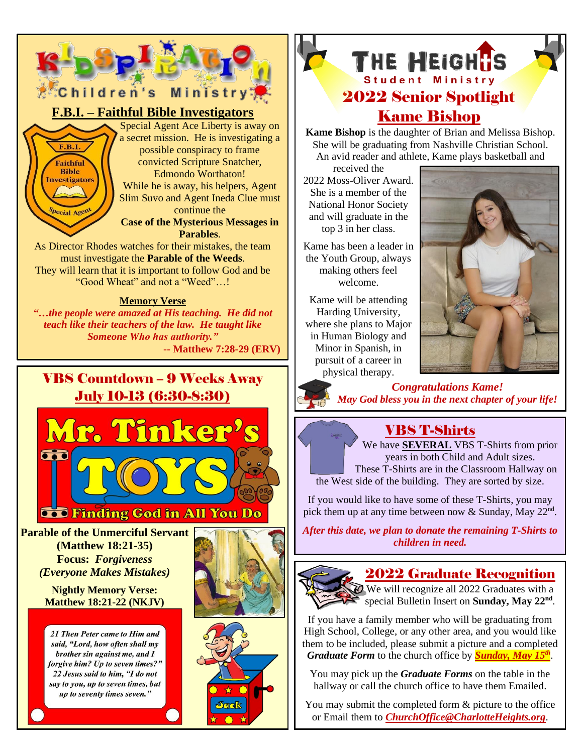

# VBS Countdown – 9 Weeks Away July 10-13 (6:30-8:30) Mr. Tinker's



**Parable of the Unmerciful Servant (Matthew 18:21-35) Focus:** *Forgiveness (Everyone Makes Mistakes)*

> **Nightly Memory Verse: Matthew 18:21-22 (NKJV)**

21 Then Peter came to Him and said, "Lord, how often shall my brother sin against me, and I forgive him? Up to seven times?" 22 Jesus said to him, "I do not say to you, up to seven times, but up to seventy times seven."







# Kame Bishop

**Kame Bishop** is the daughter of Brian and Melissa Bishop. She will be graduating from Nashville Christian School. An avid reader and athlete, Kame plays basketball and

received the 2022 Moss-Oliver Award. She is a member of the National Honor Society and will graduate in the top 3 in her class.

Kame has been a leader in the Youth Group, always making others feel welcome.

Kame will be attending Harding University, where she plans to Major in Human Biology and Minor in Spanish, in pursuit of a career in physical therapy.



*Congratulations Kame! May God bless you in the next chapter of your life!*

# VBS T-Shirts

We have **SEVERAL** VBS T-Shirts from prior years in both Child and Adult sizes.

These T-Shirts are in the Classroom Hallway on the West side of the building. They are sorted by size.

If you would like to have some of these T-Shirts, you may pick them up at any time between now & Sunday, May 22<sup>nd</sup>.

*After this date, we plan to donate the remaining T-Shirts to children in need.*



#### 2022 Graduate Recognition

We will recognize all 2022 Graduates with a special Bulletin Insert on Sunday, May 22<sup>nd</sup>.

If you have a family member who will be graduating from High School, College, or any other area, and you would like them to be included, please submit a picture and a completed *Graduate Form* to the church office by *Sunday, May 15 th* .

You may pick up the *Graduate Forms* on the table in the hallway or call the church office to have them Emailed.

You may submit the completed form & picture to the office or Email them to *[ChurchOffice@CharlotteHeights.org](mailto:ChurchOffice@CharlotteHeights.org)*.